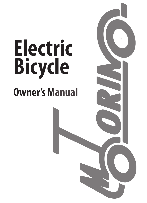# **Owner's Manual Electric Bicycle**

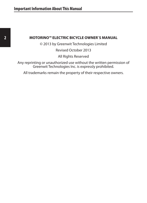#### **2 MOTORINO™ ELECTRIC BICYCLE OWNER`S MANUAL**

© 2013 by Greenwit Technologies Limited

Revised October 2013

All Rights Reserved

Any reprinting or unauthorized use without the written permission of Greenwit Technologies Inc. is expressly prohibited.

All trademarks remain the property of their respective owners.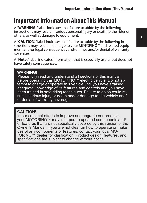# **Important Information About This Manual**

A "**WARNING!**" label indicates that failure to abide by the following instructions may result in serious personal injury or death to the rider or others, as well as damage to equipment.

A "**CAUTION!**" label indicates that failure to abide by the following instructions may result in damage to your MOTORINO™ and related equipment and/or legal consequences and/or fines and/or denial of warranty coverage.

A "**Note:**" label indicates information that is especially useful but does not have safety consequences.

#### **WARNING!**

Please fully read and understand all sections of this manual before operating this MOTORINO™ electric vehicle. Do not attempt to charge or operate this vehicle until you have attained adequate knowledge of its features and controls and you have been trained in safe riding techniques. Failure to do so could result in serious injury or death and/or damage to the vehicle and/ or denial of warranty coverage.

#### **CAUTION!**

In our constant efforts to improve and upgrade our products, your MOTORINO™ may incorporate updated components and/ or features that are not specifically covered by this version of the Owner's Manual. If you are not clear on how to operate or make use of any components or features, contact your local MO-TORINO™ dealer for clarification. Product design, features, and specifications are subject to change without notice.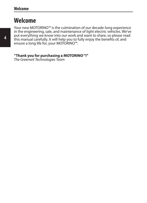# **Welcome**

Your new MOTORINO™ is the culmination of our decade-long experience in the engineering, sale, and maintenance of light electric vehicles. We've put everything we know into our work and want to share, so please read this manual carefully. It will help you to fully enjoy the benefits of, and ensure a long life for, your MOTORINO™.

#### **"Thank you for purchasing a MOTORINO**™**!"**

*The Greenwit Technologies Team*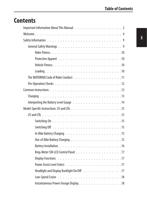# **Contents**

| Headlight and Display Backlight On/Off 17 |  |  |  |  |  |  |  |
|-------------------------------------------|--|--|--|--|--|--|--|
|                                           |  |  |  |  |  |  |  |
| Instantaneous Power Useage Display. 18    |  |  |  |  |  |  |  |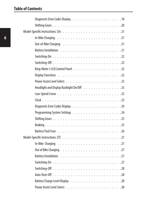| Headlight and Display Backlight On/Off 23 |
|-------------------------------------------|
|                                           |
|                                           |
|                                           |
|                                           |
|                                           |
|                                           |
|                                           |
|                                           |
|                                           |
|                                           |
|                                           |
|                                           |
|                                           |
|                                           |
|                                           |
|                                           |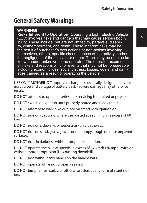# **General Safety Warnings**

#### **WARNING!**

**Risks Inherent to Operation:** Operating a Light Electric Vehicle (LEV) involves risks and dangers that may cause serious bodily injury. These include, but are not limited to, paralysis, disability, dismemberment, and death. These inherent risks may be the result of purchaser's own actions or non-actions involving themselves, others, specific circumstances of the activity, and/or the negligence of themselves or others. There may be other risks known and/or unknown to the operator. The operator assumes all risks and responsibility for events that may not be foreseeable including economic loss, social distress, losses, costs, and damages caused as a result of operating the vehicle.

USE ONLY MOTORINO™-approved chargers specifically designed for your exact type and voltage of battery pack - severe damage may otherwise result.

DO NOT attempt to open batteries - no servicing is required or possible.

DO NOT switch on ignition until properly seated and ready to ride.

DO NOT attempt to walk bike or place on stand with ignition on.

DO NOT ride on roadways where the posted speed limit is in excess of 60 km/h.

DO NOT ride on sidewalks or pedestrian-only pathways.

DO NOT ride on sand, grass, gravel, or on bumpy, rough or loose unpaved surfaces.

DO NOT ride in darkness without proper illumination.

DO NOT operate the bike at speeds in excess of 32 km/h (20 mph), with or without motor propulsion (i.e. coasting downhill).

DO NOT ride without two hands on the handle bars.

DO NOT operate while not properly seated.

DO NOT jump ramps, curbs, or otherwise attempt any form of stunt rid- ing.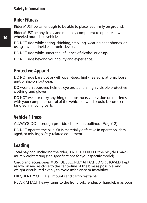#### **Rider Fitness**

Rider MUST be tall enough to be able to place feet firmly on ground.

Rider MUST be physically and mentally competent to operate a twowheeled motorized vehicle.

DO NOT ride while eating, drinking, smoking, wearing headphones, or using any handheld electronic device.

DO NOT ride while under the influence of alcohol or drugs.

DO NOT ride beyond your ability and experience.

#### **Protective Apparel**

DO NOT ride barefoot or with open-toed, high-heeled, platform, loose and/or slip-on footwear.

DO wear an approved helmet, eye protection, highly visible protective clothing, and gloves.

DO NOT wear or carry anything that obstructs your vision or interferes with your complete control of the vehicle or which could become entangled in moving parts.

#### **Vehicle Fitness**

ALWAYS DO thorough pre-ride checks as outlined (Page12).

DO NOT operate the bike if it is materially defective in operation, damaged, or missing safety-related equipment.

#### **Loading**

Total payload, including the rider, is NOT TO EXCEED the bicycle's maximum weight rating (see specifications for your specific model).

Cargo and accessories MUST BE SECURELY ATTACHED OR STOWED, kept as low on and as close to the centerline of the bike as possible, and weight distributed evenly to avoid imbalance or instability.

FREQUENTLY CHECK all mounts and cargo restraints.

NEVER ATTACH heavy items to the front fork, fender, or handlebar as poor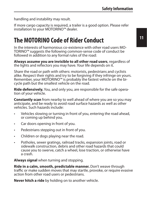handling and instability may result.

If more cargo capacity is required, a trailer is a good option. Please refer installation to your MOTORINO™ dealer.

# **The MOTORINO Code of Rider Conduct**

In the interests of harmonious co-existence with other road users MO-TORINO™ suggests the following common-sense code of conduct be followed in addition to any formal rules of the road:

**Always assume you are invisible to all other road users**, regardless of the lights and reflectors you may have. Your life depends on it.

Share the road or path with others: motorists, pedestrians and cyclists alike. Respect their rights and try to be forgiving if they infringe on yours. Remember, your MOTORINO™ is probably the fastest vehicle on the bicycle path but the smallest vehicle on the road.

**Ride defensively.** You, and only you, are responsible for the safe operation of your vehicle.

**Constantly scan** from nearby to well ahead of where you are so you may anticipate, and be ready to avoid road surface hazards as well as other vehicles. Such hazards include:

- Vehicles slowing or turning in front of you, entering the road ahead, or coming up behind you.
- Car doors opening in front of you.
- • Pedestrians stepping out in front of you.
- • Children or dogs playing near the road.
- • Potholes, sewer gratings, railroad tracks, expansion joints, road or sidewalk construction, debris and other road hazards that could cause you to swerve, catch a wheel, lose traction, or otherwise have a crash.

**Always signal** when turning and stopping.

**Ride in a calm, smooth, predictable manner.** Don't weave through traffic or make sudden moves that may startle, provoke, or require evasive action from other road users or pedestrians.

**Never hitch a ride** by holding on to another vehicle.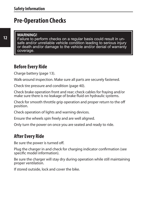# **Pre-Operation Checks**

#### **WARNING!**

Failure to perform checks on a regular basis could result in unsafe and/or unreliable vehicle condition leading to serious injury or death and/or damage to the vehicle and/or denial of warranty coverage.

#### **Before Every Ride**

Charge battery (page 13).

Walk-around inspection. Make sure all parts are securely fastened.

Check tire pressure and condition (page 40).

Check brake operation front and rear; check cables for fraying and/or make sure there is no leakage of brake fluid on hydraulic systems.

Check for smooth throttle grip operation and proper return to the off position.

Check operation of lights and warning devices.

Ensure the wheels spin freely and are well aligned.

Only turn the power on once you are seated and ready to ride.

#### **After Every Ride**

Be sure the power is turned off.

Plug the charger in and check for charging indicator confirmation (see specific model information).

Be sure the charger will stay dry during operation while still maintaining proper ventilation.

If stored outside, lock and cover the bike.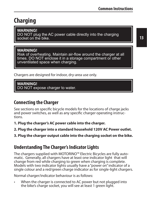# **Charging**

**WARNING!** DO NOT plug the AC power cable directly into the charging socket on the bike.

#### **WARNING!**

Risk of overheating. Maintain air-flow around the charger at all times. DO NOT enclose it in a storage compartment or other unventilated space when charging.

Chargers are designed for indoor, dry-area use only.

**WARNING!** DO NOT expose charger to water.

#### **Connecting the Charger**

See sections on specific bicycle models for the locations of charge jacks and power switches, as well as any specific charger operating instructions.

**1. Plug the charger's AC power cable into the charger.** 

**2. Plug the charger into a standard household 120V AC Power outlet.**

**3. Plug the charger output cable into the charging socket on the bike.**

#### **Understanding The Charger's Indicator Lights**

The chargers supplied with MOTORINO™ Electric Bicycles are fully automatic. Generally, all chargers have at least one indicator light that will change from red while charging to green when charging is complete. Models with two indicator lights usually have a "power on" indicator of a single colour and a red/green charge indicator as for single-light chargers.

Normal charger/indicator behaviour is as follows:

When the charger is connected to AC power but not plugged into the bike's charge socket, you will see at least 1 green light.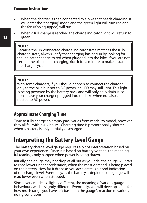- When the charger is then connected to a bike that needs charging, it will enter the "charging" mode and the green light will turn red and the fan (if so equipped) will run.
- When a full charge is reached the charge indicator light will return to green.

#### **NOTE:**

Because the un-connected charge indicator state matches the fullycharged state, always verify that charging has begun by looking for the indicator change to red when plugged into the bike. If you are not certain the bike needs charging, ride it for a minute to make it start the charge cycle.

#### **NOTE:**

With some chargers, if you should happen to connect the charger only to the bike but not to AC power, an LED may still light. This light is being powered by the battery pack and will only help drain it, so don't leave your charger plugged into the bike when not also con- nected to AC power.

#### **Approximate Charging Time**

Time to fully charge an empty pack varies from model to model, however they all fall within 4-7 hours. Charging time is proportionally shorter when a battery is only partially discharged.

# **Interpreting the Battery Level Gauge**

The battery charge level gauge requires a bit of interpretation based on your own experience. Since it is based on battery voltage, the meaningful readings only happen when power is being drawn.

Initially, the gauge may not drop at all but as you ride, the gauge will start to read lower under acceleration, when the most demand is being placed on the battery. How far it drops as you accelerate is a good indication of the charge level. Eventually, as the baterry is depleted, the gauge will read lower even when stopped.

Since every model is slightly different, the meaning of various gauge behaviours will be slightly different. Eventually, you will develop a feel for how much range you have left based on the gauge's reaction to various riding conditions.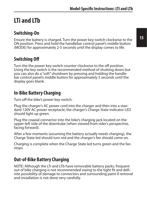# **LTi and LTb**

#### **Switching-On**

Ensure the battery is charged. Turn the power key-switch clockwise to the ON position. Press and hold the handlebar control panel's middle button (MODE) for approximately 2-5 seconds until the display comes to life.

#### **Switching Off**

Turn the the power key-switch counter-clockwise to the off position. Using the key switch is the recommended method of shutting down but you can also do a "soft" shutdown by pressing and holding the handlebar control panel's middle button for approximately 5 seconds until the display goes blank.

#### **In-Bike Battery Charging**

Turn off the bike's power key-switch.

Plug the charger's AC power cord into the charger and then into a standard 120V AC power receptacle; the charger's Charge State indicator LED should light up green.

Plug the coaxial connector into the bike's charging jack located on the upper-left side of the downtube (when viewed from rider's perspective, facing forward).

After a few moments (assuming the battery actually needs charging), the Charge State led should turn red and the charger's fan should come on.

Charging is complete when the Charge State led turns green and the fan stops.

#### **Out-of-Bike Battery Charging**

NOTE: Although the LTi and LTb have removable battery packs, frequent<br>out of bike charging is not recommended owing to the tight fit and definite possibility of damage to connectors and surrounding paint if removal and installation is not done very carefully.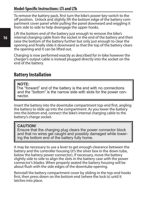#### **Model-Specific Instructions: LTi and LTb**

To remove the battery pack, first turn the bike's power key-switch to the partment cover panel while pulling the panel downward and wiggling it from side to side to help disengage the upper hooks.

Lift the bottom end of the battery just enough to remove the bike's internal charging cable from the socket in the end of the battery and then raise the bottom of the battery further but only just enough to clear the opening and finally slide it downward so that the top of the battery clears the opening and it can be lifted out.

Charging is now performed exactly as described for in-bike however the charger's output cable is instead plugged directly into the socket on the end of the battery.

#### **Battery Installation**

#### **NOTE:**

The "forward" end of the battery is the end with no connections and the "bottom" is the narrow side with slots for the power connector.

Insert the battery into the downtube compartment top-end first, angling the battery to slide up into the compartment. As you lower the battery into the bottom end, connect the bike's internal charging cable to the battery's charge socket.

#### **CAUTION!**

Ensure that the charging plug clears the power connector block and that no wires get caught and possibly damaged while lower- ing the bottom end of the battery fully home.

It may be necessary to use a lever to get enough clearance between the battery and the controller housing (it's the silver box in the down tube, below the battery power connector). If necessary, move the battery slightly side to side to align the slots in the battery case with the power connector's blades. When properly seated the battery housing will be about flush with the side edges of the downtube opening.

Reinstall the battery compartment cover by sliding-in the top-end hooks first, then press down on the bottom end (where the lock is) until it latches into place.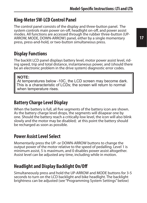#### **King-Meter SW-LCD Control Panel**

The control panel consists of the display and three-button panel. The system controls main power on-off, headlight on-off, and power assist modes. All functions are accessed through the rubber three-button (UP-ARROW, MODE, DOWN-ARROW) panel, either by a single momentary press, press-and-hold, or two-button simultaneous press.

#### **Display Functions**

The backlit LCD panel displays battery level, motor power assist level, rid- ing speed, trip and total distance, instantaneous power, and (should there be an electronic problem in the drive system) diagnostic error codes.

#### **NOTE:**

At temperatures below -10C, the LCD screen may become dark. This is a characteristic of LCDs; the screen will return to normal when temperature rises.

#### **Battery Charge Level Display**

When the battery is full, all five segments of the battery icon are shown. As the battery charge level drops, the segments will disapear one by one. Should the battery reach a critically-low level, the icon will also blink slowly and the motor may be disabled; at this point the battery should be recharged as soon as possible.

#### **Power Assist Level Select**

Momentarily press the UP- or DOWN-ARROW buttons to change the output power of the motor relative to the speed of pedalling. Level 1 is minimum assist, 5 is maximum, and 0 disables power assist altogether. Assist level can be adjusted any time, including while in motion.

#### **Headlight and Display Backlight On/Off**

Simultaneously press and hold the UP-ARROW and MODE buttons for 3-5 seconds to turn on the LCD backlight and bike headlight. The backlight brightness can be adjusted (see "Programming System Settings" below)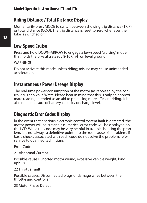#### **Riding Distance / Total Distance Display**

Momentarily press MODE to switch between showing trip distance (TRIP) or total distance (ODO). The trip distance is reset to zero whenever the bike is switched off.

#### **Low-Speed Cruise**

Press and hold DOWN-ARROW to engage a low-speed "cruising" mode that holds the bike at a steady 8-10Km/h on level ground.

**WARNING!** 

Do not activate this mode unless riding; misuse may cause unintended acceleration.

#### **Instantaneous Power Useage Display**

The real-time power consumption of the motor (as reported by the controller) is shown in Watts. Please bear in mind that this is only an approximate reading intended as an aid to practicing more efficient riding. It is also not a measure of battery capacity or charge level.

#### **Diagnostic Error Codes Display**

ln the event that a serious electronic control system fault is detected, the motor power will be cut and a numerical error code will be displayed on the LCD. While the code may be very helpful in troubleshooting the problem, it is not always a definitive pointer to the root cause of a problem. If basic checks associated with each code do not solve the problem, refer service to qualified technicians.

Error Code

21 Abnormal Current

Possible causes: Shorted motor wiring, excessive vehicle weight, long uphills.

22 Throttle Fault

Possible causes: Disconnected plugs or damage wires between the throttle and controller.

23 Motor Phase Defect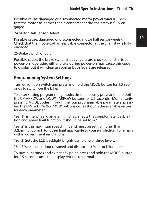Possible cause: damaged or disconnected motor power wire(s). Check that the motor-to-harness cable connector at the chainstay is fully engaged.

24 Motor Hall Sensor Defect

Possible cause: damaged or disconnected motor hall sensor wire(s). Check that the motor-to-harness cable connector at the chainstay is fully engaged.

25 Brake Switch Circuit

Possible cause: the brake switch input circuits are checked for shorts at power-on; operating either brake during power-on may cause this code to display but it will clear as soon as both levers are released.

#### **Programming System Settings**

Turn on ignition switch and press and hold the MODE button for 1.5 seconds to switch-on the bike.

To enter setting programming mode, simultaneously press and hold both the UP-ARROW and DOWN-ARROW buttons for 2.5 seconds. Momentarily pressing MODE cycles through the four programmable parameters, pressing the UP- or DOWN-ARROW buttons cycles though the available values for each parameter.

"Set.1" is the wheel diameter in inches; affects the speedometer calibration and speed limit function. It should be set to 26".

"Set.2" is the maximum speed limit and must be set no higher than 32km/h or 20mph (or other limit applicable to your jurisdiction) to remain within government regulations.

"Set.3" Sets the LCD backlight brightness to one of three levels.

"Set.4" sets the readout of speed and distance to Miles or Kilometers

To save all settings and exit at any point, press and hold the MODE button for 2.5 seconds until the display returns to normal.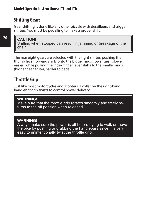#### **Shifting Gears**

Gear shifting is done like any other bicycle with derailleurs and trigger shifters. You must be pedalling to make a proper shift.

#### **CAUTION!**

Shifting when stopped can result in jamming or breakage of the chain.

The rear eight gears are selected with the right shifter; pushing the thumb lever forward shifts onto the bigger rings (lower gear, slower, easier) while pulling the index finger lever shifts to the smaller rings (higher gear, faster, harder to pedal).

#### **Throttle Grip**

Just like most motorcycles and scooters, a collar on the right-hand handlebar grip twists to control power delivery.

#### **WARNING!**

Make sure that the throttle grip rotates smoothly and freely returns to the off position when released.

#### **WARNING!**

Always make sure the power is off before trying to walk or move the bike by pushing or grabbing the handlebars since it is very easy to unintentionally twist the throttle grip.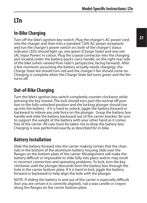# **LTn**

#### **In-Bike Charging**

Turn off the bike's ignition key-switch. Plug the charger's AC power cord into the charger and then into a standard 120V AC power receptacle and tun the charger's power switch on; both of the charger's status indicator LEDs should light up, one green (Charge State) and one red (AC Input Power) in colour. Plug the coaxial connector into the charging jack located under the battery-pack's carry handle, on the right-rear side of the bike (when viewed from rider's perspective, facing forward). After a few moments (assuming the battery actually needs charging), the Charge State led should turn red and the charger's fan should come on. Charging is complete when the Charge State led turns green and the fan turns off.

#### **Out-of-Bike Charging**

Turn the bike's ignition key-switch completely counter-clockwise while pressing the key inward. The lock should turn past the normal off position to the fully-unlocked position and the locking plunger should rise up into the battery - if it is hard to unlock, jiggle the battery forward or backward to relieve any side force on the plunger. Grasp the battery box handle and slide the battery backward out of the carrier bracket. Be sure to support the weight of the battery with your other hand as it comes free of the carrier. All care must be taken not to drop the battery box. Charging is now performed exactly as described for in-bike.

#### **Battery Installation**

Slide the battery forward into the carrier making certain that the channels in the bottom of the aluminum battery housing slide over the flanges on the bottom plate of the carrier. Misalignment will make the battery difficult or impossible to slide fully into place and/or may result in incorrect connection and operating problems. To lock, turn the key clockwise until the plunger descends from the battery box through the hole in the carrier bottom plate. If it is hard to lock, jiggle the battery forward or backward to help align the hole with the plunger.

NOTE: If sliding the battery in and out of the carrier is especially difficult (but you are certain it is correctly aligned), rub a wax candle or crayon along the flanges on the carrier bottom plate.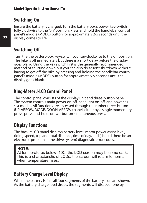#### **Switching-On**

Ensure the battery is charged. Turn the battery box's power key-switch fully clockwise to the "on" position. Press and hold the handlebar control panel's middle (MODE) button for approximately 2-5 seconds until the display comes to life.

#### **Switching-Off**

Turn the the battery-box key-switch counter-clockwise to the off position. The bike is off immediately but there is a short delay before the display goes blank. Using the key switch first is the generally recommended method of shutting down but you can also do a "soft" shutdown without having to get off the bike by pressing and holding the handlebar control panel's middle (MODE) button for approximately 5 seconds until the display goes blank.

#### **King-Meter J-LCD Control Panel**

The control panel consists of the display unit and three-button panel. The system controls main power on-off, headlight on-off, and power assist modes. All functions are accessed through the rubber three-button (UP-ARROW, MODE, DOWN-ARROW) panel, either by a single momentary press, press-and-hold, or two-button simultaneous press.

#### **Display Functions**

The backlit LCD panel displays battery level, motor power assist level, riding speed, trip and total distance, time of day, and (should there be an electronic problem in the drive system) diagnostic error codes.

#### **NOTE:**

At temperatures below -10C, the LCD screen may become dark. This is a characteristic of LCDs; the screen will return to normal when temperature rises.

#### **Battery Charge Level Display**

When the battery is full, all four segments of the battery icon are shown. As the battery charge level drops, the segments will disapear one by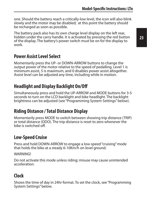one. Should the battery reach a critically-low level, the icon will also blink slowly and the motor may be disabled; at this point the battery should be recharged as soon as possible.

The battery pack also has its own charge level display on the left rear, hidden under the carry handle. It is activated by pressing the red button of the display. The battery's power switch must be on for the display to work.

#### **Power Assist Level Select**

Momentarily press the UP- or DOWN-ARROW buttons to change the output power of the motor relative to the speed of pedalling. Level 1 is minimum assist, 5 is maximum, and 0 disables power assist altogether. Assist level can be adjusted any time, including while in motion.

#### **Headlight and Display Backlight On/Off**

Simultaneously press and hold the UP-ARROW and MODE buttons for 3-5 seconds to turn on the LCD backlight and bike headlight. The backlight brightness can be adjusted (see "Programming System Settings" below).

#### **Riding Distance / Total Distance Display**

Momentarily press MODE to switch between showing trip distance (TRIP) or total distance (ODO). The trip distance is reset to zero whenever the bike is switched off.

#### **Low-Speed Cruise**

Press and hold DOWN-ARROW to engage a low-speed "cruising" mode that holds the bike at a steady 6-10Km/h on level ground.

WARNING!

Do not activate this mode unless riding; misuse may cause unintended acceleration.

# **Clock**

Shows the time of day in 24hr format. To set the clock, see "Programming System Settings" below.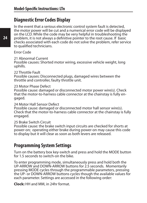#### **Diagnostic Error Codes Display**

ln the event that a serious electronic control system fault is detected, the motor power will be cut and a numerical error code will be displayed on the LCD. While the code may be very helpful in troubleshooting the problem, it is not always a definitive pointer to the root cause. If basic checks associated with each code do not solve the problem, refer service to qualified technicians.

Error Code

21 Abnormal Current Possible causes: Shorted motor wiring, excessive vehicle weight, long uphills.

22 Throttle Fault Possible causes: Disconnected plugs, damaged wires between the throttle and controller, faulty throttle unit.

23 Motor Phase Defect

Possible cause: damaged or disconnected motor power wire(s). Check that the motor-to-harness cable connector at the chainstay is fully engaged.

24 Motor Hall Sensor Defect Possible cause: damaged or disconnected motor hall sensor wire(s). Check that the motor-to-harness cable connector at the chainstay is fully engaged.

25 Brake Switch Circuit

Possible cause: the brake switch input circuits are checked for shorts at power-on; operating either brake during power-on may cause this code to display but it will clear as soon as both levers are released.

#### **Programming System Settings**

Turn on the battery box key-switch and press and hold the MODE button for 1.5 seconds to switch-on the bike.

To enter programming mode, simultaneously press and hold both the UP-ARROW and DOWN-ARROW buttons for 2.5 seconds. Momentarily pressing MODE cycles through the programmable parameters, pressing the UP- or DOWN-ARROW buttons cycles though the available values for each parameter. Settings are accessed in the following order:

**Clock:** HH and MM, in 24hr format.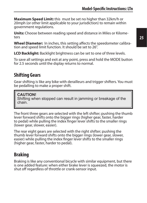**Maximum Speed Limit:** this must be set no higher than 32km/h or 20mph (or other limit applicable to your jurisdiction) to remain within government regulations.

**Units:** Choose between reading speed and distance in Miles or Kilome-<br>ters

**Wheel Diameter:** In inches, this setting affects the speedometer calibration and speed limit function. It should be set to 26".

**LCD Backlight:** Backlight brightness can be set to one of three levels.

To save all settings and exit at any point, press and hold the MODE button for 2.5 seconds until the dsplay returns to normal.

#### **Shifting Gears**

Gear shifting is like any bike with derailleurs and trigger shifters. You must be pedalling to make a proper shift.

**CAUTION!** Shifting when stopped can result in jamming or breakage of the chain.

The front three gears are selected with the left shifter; pushing the thumb lever forward shifts onto the bigger rings (higher gear, faster, harder to pedal) while pulling the index finger lever shifts to the smaller rings (lower gear, slower, easier).

The rear eight gears are selected with the right shifter; pushing the thumb lever forward shifts onto the bigger rings (lower gear, slower, easier) while pulling the index finger lever shifts to the smaller rings (higher gear, faster, harder to pedal).

#### **Braking**

Braking is like any conventional bicycle with similar equipment, but there is one added feature: when either brake lever is squeezed, the motor is shut off regardless of throttle or crank-sensor input.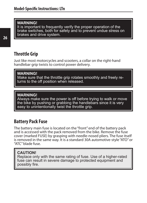#### **WARNING!**

It is important to frequently verify the proper operation of the brake switches, both for safety and to prevent undue stress on brakes and drive system.

#### **Throttle Grip**

Just like most motorcycles and scooters, a collar on the right-hand handlebar grip twists to control power delivery.

**WARNING!** Make sure that the throttle grip rotates smoothly and freely returns to the off position when released.

#### **WARNING!**

Always make sure the power is off before trying to walk or move the bike by pushing or grabbing the handlebars since it is very easy to unintentionally twist the throttle grip.

#### **Battery Pack Fuse**

The battery main fuse is located on the "front" end of the battery pack and is accessed with the pack removed from the bike. Remove the fuse cover (marked FUSE) by grasping with needle-nosed pliers. The fuse itself is removed in the same way. It is a standard 30A automotive-style "ATO" or "ATC" blade fuse.

#### **CAUTION!**

Replace only with the same rating of fuse. Use of a higher-rated fuse can result in severe damage to protected equipment and possibly fire.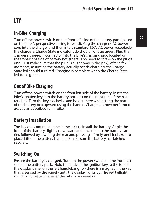# **LTf**

#### **In-Bike Charging**

Turn off the power switch on the front-left side of the battery pack (based on the rider's perspective, facing forward). Plug the charger's AC power cord into the charger and then into a standard 120V AC power receptacle; the charger's Charge State indicator LED should light up green. Plug the charger's three-pin connector into the bike's charging jack, located on the front-right side of battery box (there is no need to screw-on the plug's ring - just make sure that the plug is all the way in the jack). After a few moments, assuming the battery actually needs charging, the Charge State led should turn red. Charging is complete when the Charge State led turns green.

# **Out of Bike Charging**

Turn off the power switch on the front left side of the battery. Insert the bike's ignition key into the battery box lock on the right-rear of the battery box. Turn the key clockwise and hold it there while lifting the rear of the battery box upward using the handle. Charging is now performed exactly as described for in-bike.

#### **Battery Installation**

The key does not need to be in the lock to install the battery. Angle the front of the battery slightly downward and lower it into the battery carrier, followed by lowering the rear and pressing it firmly until it clicks into place. Lift up the battery handle to make sure the battery has latched securely.

# **Switching-On**

Ensure the battery is charged. Turn on the power switch on the front-left side of the battery pack. Hold the body of the ignition key to the top of the display panel on the left handlebar grip - there is a magnet in the key that is sensed by the panel - until the display lights up. The red taillight will also illumiate whenever the bike is powered on.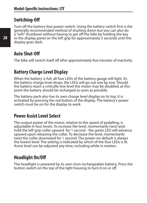#### **Switching-Off**

Turn off the battery-box power switch. Using the battery switch first is the generally recommended method of shutting down but you can also do a "soft" shutdown without having to get off the bike by holding the key to the display panel on the left grip for approximately 5 seconds until the display goes dark.

#### **Auto Shut-Off**

The bike will switch itself off after approximately five minutes of inactivity.

#### **Battery Charge Level Display**

When the battery is full, all four LEDs of the battery gauge will light. As the battery charge level drops, the LEDs will go out one by one. Should the battery reach a critically-low level the motor may be disabled; at this point the battery should be recharged as soon as possible.

The battery pack also has its own charge level display on its top. It is activated by pressing the red button of the display. The battery's power switch must be on for the display to work.

#### **Power Assist Level Select**

The output power of the motor, relative to the speed of pedalling, is adjustable in four levels. To increase the level, momentarily twist-andhold the left grip collar upward for 1 second - the green LED will advance upward upon releasing the collar. To decrease the level, momentarily twist the collar downward for 1 second. The power-on default is always the lowest level. The setting is indicated by which of the four LEDs is lit. Assist level can be adjusted any time, including while in motion.

#### **Headlight On/Off**

The headlight is powered by its own (non-rechargeable) battery. Press the button switch on the top of the light housing to turn it on or off.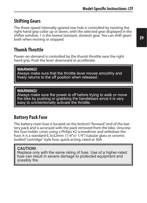#### **Shifting Gears**

The three-speed internally-geared rear hub is controlled by twisting the right-hand grip collar up or down, with the selected gear displayed in the shifter window. 1 is the lowest (easisest, slowest) gear. You can shift gears both when moving or stopped.

#### **Thumb Throttle**

Power-on-demand is controlled by the thumb throttle near the right hand grip. Push the lever downward to accellerate.

#### **WARNING!**

Always make sure that the throttle lever moves smoothly and freely returns to the off position when released.

#### **WARNING!**

Always make sure the power is off before trying to walk or move the bike by pushing or grabbing the handlebars since it is very easy to unintentionally activate the throttle.

#### **Battery Pack Fuse**

The battery main fuse is located on the bottom "forward" end of the battery pack and is accessed with the pack removed from the bike. Unscrew the fuse holder cover using a Philips #2 screwdriver and withdraw the fuse. It is a standard 6.3x32mm  $(1/4"x1 1/4")$  tubular glass or ceramic bodied "cartridge" style fuse, quick-acting, rated at 30A.

#### **CAUTION!**

Replace only with the same rating of fuse. Use of a higher-rated fuse can result in severe damage to protected equipment and possibly fire.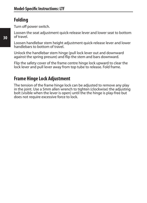#### **Folding**

Turn off power switch.

Loosen the seat adjustment quick-release lever and lower seat to bottom of travel.

Loosen handlebar stem height adjustment quick-release lever and lower handlebars to bottom of travel.

Unlock the handlebar stem hinge (pull lock lever out and downward against the spring presure) and flip the stem and bars downward.

Flip the safety cover of the frame centre hinge lock upward to clear the lock lever and pull lever away from top tube to release. Fold frame.

#### **Frame Hinge Lock Adjustment**

The tension of the frame hinge lock can be adjusted to remove any play in the joint. Use a 5mm allen wrench to tighten (clockwise) the adjusting bolt (visible when the lever is open) until the the hinge is play-free but does not require excessive force to lock.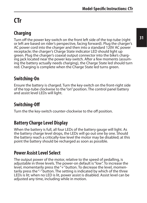# **CTr**

# **Charging**

Turn off the power key-switch on the front left side of the top tube (right or left are based on rider's perspective, facing forward). Plug the charger's AC power cord into the charger and then into a standard 120V AC power receptacle; the charger's Charge State indicator LED should light up green. Plug the charger's coaxial output connector into the bike's charging jack located near the power key-switch. After a few moments (assuming the battery actually needs charging), the Charge State led should turn red. Charging is complete when the Charge State led turns green.

#### **Switching-On**

Ensure the battery is charged. Turn the key-switch on the front-right side of the top-tube clockwise to the "on" position. The control panel battery and assist level LEDs will light.

## **Switching-Off**

Turn the the key-switch counter-clockwise to the off position.

#### **Battery Charge Level Display**

When the battery is full, all four LEDs of the battery gauge will light. As the battery charge level drops, the LEDs will go out one by one. Should the battery reach a critically-low level the motor may be disabled; at this point the battery should be recharged as soon as possible.

#### **Power Assist Level Select**

The output power of the motor, relative to the speed of pedalling, is adjustable in three levels. The power-on default is "low". To increase the level, momentarily press the "+" button. To decrease the level, momentarily press the "-" button. The setting is indicated by which of the three LEDs is lit; when no LED is lit, power assist is disabled. Assist level can be adjusted any time, including while in motion.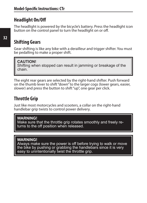#### **Headlight On/Off**

The headlight is powered by the bicycle's battery. Press the headlight icon button on the control panel to turn the headlight on or off.

#### **Shifting Gears**

Gear shifting is like any bike with a derailleur and trigger shifter. You must be pedalling to make a proper shift.

#### **CAUTION!**

Shifting when stopped can result in jamming or breakage of the chain.

The eight rear gears are selected by the right-hand shifter. Push forward on the thumb lever to shift "down" to the larger cogs (lower gears, easier, slower) and press the button to shift "up", one gear per click.

#### **Throttle Grip**

Just like most motorcycles and scooters, a collar on the right-hand handlebar grip twists to control power delivery.

#### **WARNING!**

Make sure that the throttle grip rotates smoothly and freely returns to the off position when released.

#### **WARNING!**

Always make sure the power is off before trying to walk or move the bike by pushing or grabbing the handlebars since it is very easy to unintentionally twist the throttle grip.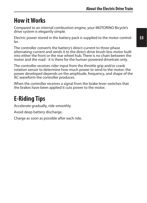# **How it Works**

Compared to an internal combustion engine, your MOTORINO Bicycle's drive system is elegantly simple.

Electric power stored in the battery pack is supplied to the motor controller.

The controller converts the battery's direct-current to three-phase alternating-current and sends it to the direct-drive brush-less motor built into either the front or the rear wheel hub. There is no chain between the motor and the road - it is there for the human-powered drivetrain only.

The controller receives rider input from the throttle grip and/or crank rotation sensor to determine how much power to send to the motor; the power developed depends on the amplitude, frequency, and shape of the AC waveform the controller produces.

When the controller receives a signal from the brake lever switches that the brakes have been applied it cuts power to the motor.

# **E-Riding Tips**

Accelerate gradually, ride smoothly.

Avoid deep battery discharge.

Charge as soon as possible after each ride.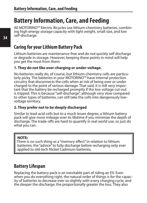# **Battery Information, Care, and Feeding**

All MOTORINO™ Electric Bicycles use lithium-chemistry batteries, combining high energy storage capacity with light weight, small size, and low self-discharge.

#### **Caring for your Lithium Battery Pack**

Lithium batteries are maintenance-free and do not quickly self discharge or degrade in storage. However, keeping these points in mind will help you get the most from them:

#### **1. They do not like over-charging or under-voltage.**

No batteries really do, of course, but lithium-chemistry cells are particu-<br>larly picky. The batteries in your MOTORINO™ have internal protection circuitry that disconnects the cells when at risk of being over or under charged to the point of serious damage. That said, it is still very important that the battery be recharged promptly if the low voltage cut-out is tripped. This is because "self-discharge", although very slow compared to other types of batteries, can still take the cells into dangerously lowvoltage territory.

#### **2. They prefer not to be deeply discharged**

Similar to lead-acid cells but to a much lesser degree, a lithium battery pack will give more mileage over its lifetime if you minimize the depth of discharge. The trade-offs are hard to quantify in real world use, so just do what you can.

#### **NOTE:**

There is no such thing as a "memory effect" in relation to lithium batteries; the "advice" to fully discharge before recharging only ever applied to old-tech Nickel Cadmium batteries.

#### **Battery Lifespan**

Replacing the battery pack is an inevitable part of riding an EV. Even<br>when you do everything right, the natural order of things is for the capacity of batteries to decrease ever so slightly with every charging cycle, and the deeper the discharge, the proportionally greater the loss. They also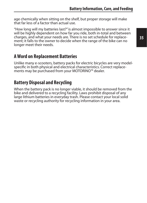age chemically when sitting on the shelf, but proper storage will make that far less of a factor than actual use.

"How long will my batteries last?" is almost impossible to answer since it will be highly dependent on how far you ride, both in-total and between charges, and what your needs are. There is no set schedule for replace- ment; it falls to the owner to decide when the range of the bike can no longer meet their needs.

#### **A Word on Replacement Batteries**

Unlike many e-scooters, battery packs for electric bicycles are very modelspecific in both physical and electrical characteristics. Correct replacements may be purchased from your MOTORINO™ dealer.

#### **Battery Disposal and Recycling**

When the battery pack is no longer viable, it should be removed from the bike and delivered to a recycling facility. Laws prohibit disposal of any large lithium batteries in everyday trash. Please contact your local solid waste or recycling authority for recycling information in your area.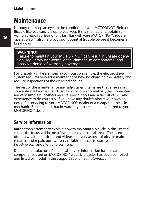# **Maintenance**

Nobody can keep an eye on the condition of your MOTORINO™ Elelctric Bicycle like you can. It is up to you keep it maintained and obtain servicing as required. Being fully familiar with your MOTORINO™'s regular operation will also help you spot potential trouble before it becomes a breakdown.

#### **WARNING!**

Failure to maintain your MOTORINO<sup>™</sup> can result in unsafe operation, regulatory non-compliance, damage to components, and possible denial of warranty coverage.

Fortunately, unlike an internal-combustion vehicle, the electric drive system requires very little maintenance beyond charging the battery and regular inspections of the exposed cabling.

The rest of the maintenance and adjustment items are the same as on conventional bicycles. And just as with conventional bicycles, some items are very simple but others require special tools and a fair bit of skill and experience to do correctly. If you have any doubts about your own abilities, refer servicing to your MOTORINO™ dealer or a competent bicycle mechanic. Bear in mind that in-warranty repairs must be referred to your MOTORINO™ dealer.

#### **Service Information**

Rather than attempt to explain how to maintain a bicycle in this limited space, the focus will be on a few general yet critical areas. The Internet offers a wealth of articles and videos on every aspect of bicycle maintenance and repair, but two very reliable sources to start you off are *bicycling.com* and *sheldonbrown.com*

Detailed manufacturers' technical service information for the various components used on MOTORINO™ electric bicycles has been compiled and listed by model in the Support section at *motorino.ca*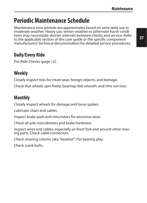# **Periodic Maintenance Schedule**

Maintenance time periods are approximates based on semi-daily use in moderate weather. Heavy use, winter weather or otherwise harsh conditions may necessitate shorter intervals between checks and service. Refer to the applicable section of this user guide or the specific component manufacturers' technical documentation for detailed service procedures.

#### **Daily/Every Ride**

Pre-Ride Checks (page 12).

#### **Weekly**

Closely inspect tires for tread wear, foreign objects, and damage.

Check that wheels spin freely, bearings feel smooth, and rims run true.

# **Monthly**

Closely inspect wheels for damage and loose spokes.

Lubricate chain and cables.

Inspect brake pads and rims/rotors for excessive wear.

Check all axle nuts/skewers and brake hardware.

Inspect wires and cables, especially on front fork and around other moving parts. Check cable connectors.

Check steering column (aka "headset" ) for bearing play.

Check crank bolts.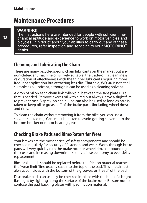# **Maintenance Procedures**

#### **WARNING!**

The instructions here are intended for people with sufficient mechanical aptitude and experience to work on motor vehicles and bicycles. If in doubt about your abilities to carry out any of these procedures, refer inspection and servicing to your MOTORINO dealer.

#### **Cleaning and Lubricating the Chain**

There are many bicycle-specific chain lubricants on the market but any non-detergent machine oil is likely suitable; the trade-off is cleanliness vs duration of effectiveness with the thinner lubricants requiring more frequent application but attracting less dirt. That said, WD-40 is not at all suitable as a lubricant, although it can be used as a cleaning solvent.

A drop of oil on each chain link roller/pin, between the side plates, is all that is needed. Remove excess oil with a rag but always leave a slight film to prevent rust. A spray-on chain lube can also be used as long as care is taken to keep oil or grease off of the brake parts (including wheel rims) and tires.

To clean the chain without removing it from the bike, you can use a solvent-soaked rag. Care must be taken to avoid getting solvent into the bottom bracket or motor bearings, etc.

#### **Checking Brake Pads and Rims/Rotors for Wear**

Your brakes are the most critical of safety components and should be checked regularly for security of fasteners and wear. Worn-through brake pads will very quickly ruin the brake rotor or wheel rim, compounding the costs and increasing downtime, so it is a false economy to ever delay replacement.

Rim-brake pads should be replaced before the friction material reaches the "wear limit" line usually cast into the top of the pad. This line almost always coincides with the bottom of the grooves, or "tread", of the pad.

Disc brake pads can usually be checked in-place with the help of a bright flashlight by sighting along the surface of the brake rotor. Be sure not to confuse the pad backing plates with pad friction material.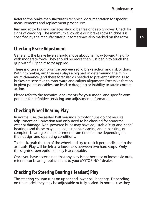Refer to the brake manufacturer's technical documentation for specific measurements and replacement procedures.

Rim and rotor braking surfaces should be free of deep grooves. Check for signs of cracking. The minimum allowable disc brake rotor thickness is specified by the manufacturer but sometimes also marked on the rotor.

#### **Checking Brake Adjustment**

Generally, the brake levers should move about half way toward the grip with moderate force. They should no more than just begin to touch the grip with full "panic" force applied.

There is often a compromise between solid brake action and risk of drag. With rim brakes, rim trueness plays a big part in determining the minimum clearance (and there fore "slack") needed to prevent rubbing. Disc brakes are sensitive to rotor warp and caliper alignment. Excessive friction in pivot points or cables can lead to dragging or inability to attain correct action.

Please refer to the technical documents for your model and specific components for definitive servicing and adjustment information.

#### **Checking Wheel Bearing Play**

In normal use, the sealed ball bearings in motor hubs do not require adjsutment or lubrication and only need to be checked for abnormal wear or damage. Non-powered hubs may have adjustable "cup-and-cone" bearings and these may need adjustment, cleaning and repacking, or complete bearing ball repalacement from time to time depending on their design and operating conditions.

To check, grab the top of the wheel and try to rock it perpendicular to the axle axis. Play will be felt as a looseness between two hard stops. Only the slightest perception of play is acceptable.

Once you have ascertained that any play is not because of loose axle nuts, refer motor bearing replacement to your MOTORINO™ dealer.

#### **Checking for Steering Bearing (Headset) Play**

The steering column runs on upper and lower ball bearings. Depending on the model, they may be adjustable or fully sealed. In normal use they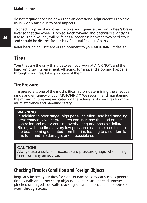do not require servicing other than an occasional adjustment. Problems usually only arise due to hard impacts.

To check for play, stand over the bike and squeeze the front wheel's brake lever so that the wheel is locked. Rock forward and backward slightly as if to roll the bike. Play will be felt as a looseness between two hard stops and should be distinct from a bit of natural flexing of parts.

Refer bearing adjustment or replacement to your MOTORINO™ dealer.

# **Tires**

Your tires are the only thing between you, your MOTORINO™, and the hard, unforgiving pavement. All going, turning, and stopping happens through your tires. Take good care of them.

#### **Tire Pressure**

Tire pressure is one of the most critical factors determining the effective range and efficiency of your MOTORINO™. We recommend maintaining the maximum pressure indicated on the sidewalls of your tires for maximum efficiency and handling safety.

#### **WARNING!**

In addition to poor range, high pedalling effort, and bad handling performance, low tire pressures can increase the load on the controller and motor causing overheating and possible failure. Riding with the tires at very low pressures can also result in the tire bead coming unseated from the rim, leading to a sudden flat, rim, tube and tire damage, and a possible crash.

#### **CAUTION!**

Always use a suitable, accurate tire pressure gauge when filling tires from any air source.

#### **Checking Tires for Condition and Foreign Objects**

Regularly inspect your tires for signs of damage or wear such as penetration by nails and other sharp objects, objects stuck in tread grooves, pinched or bulged sidewalls, cracking, delamination, and flat-spotted or worn-through tread.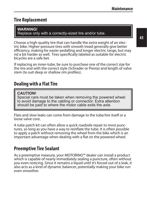#### **Tire Replacement**

#### **WARNING!**

Replace only with a correctly-sized tire and/or tube.

Choose a high-quality tire that can handle the extra weight of an electric bike. Higher-pressure tires with smooth tread generally give better efficiency, making for easier pedalling and longer electric range, but may rid a bit harder as well. Tires specifically labeled as suitable for electric bicycles are a safe bet.

If replacing an inner-tube, be sure to purchase one of the correct size for the tire and with the correct style (Schrader or Presta) and length of valve stem (to suit deep or shallow rim profiles).

#### **Dealing with a Flat Tire**

#### **CAUTION!**

Special care must be taken when removing the powered wheel to avoid damage to the cabling or connector. Extra attention should be paid to where the motor cable exits the axle.

Flats and slow leaks can come from damage to the tube/tire itself or a loose valve core.

A tube patch kit can often allow a quick roadside repair to most punctures, so long as you have a way to reinflate the tube. It is often possible to apply a patch without removing the wheel from the bike which is an important advantage when dealing with a flat on the powered wheel.

#### **Preemptive Tire Sealant**

As a preemptive measure, your MOTORINO™ dealer can install a product which is capable of nearly immediately sealing a puncture, often without you even noticing. Since it remains a liquid until it's forced out of a leak, it also acts as a kind of dynamic balancer, potentially making your bike run even smoother.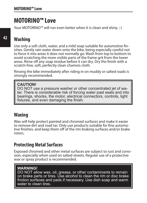# **MOTORINO™ Love**

Your MOTORINO™ will run even better when it is clean and shiny. :-)

# **Washing**

Use only a soft cloth, water, and a mild soap suitable for automotive finishes. Gently rain water down onto the bike, being especially careful not to force it into areas it does not normally go. Wash from top to bottom to avoid scratching the more visible parts of the frame grit from the lower areas. Rinse off any soap residue before it can dry. Dry the finish with a scratch-free, soft, perfectly clean chamois cloth.

Rinsing the bike immediately after riding in on muddy or salted roads is strongly recommended.

#### **CAUTION!**

DO NOT use a pressure washer or other concentrated jet of water. There is considerable risk of forcing water past seals and into bearings, shocks, the motor, electrical connectors, controls, light fixtures, and even damaging the finish.

#### **Waxing**

Wax will help protect painted and chromed surfaces and make it easier to remove dirt and road tar. Only use products suitable for fine automotive finishes. and keep them off of the rim braking surfaces and/or brake rotors.

#### **Protecting Metal Surfaces**

Exposed chromed and other metal surfaces are subject to rust and corrosion, especially when used on salted streets. Regular use of a protective wax or spray product is recommended.

#### **WARNING!**

DO NOT allow wax, oil, grease, or other contaminants to remain on brake parts or tires. Use alcohol to clean the rim or disc brake friction surfaces and pads if necessary. Use dish soap and warm water to clean tires.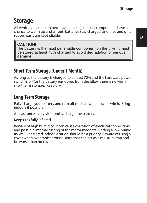# **Storage**

All vehicles seem to do better when in regular use; components have a chance to warm up and air out, batteries stay charged, and tires and other rubber parts are kept pliable.

#### **CAUTION!**

The battery is the most perishable component on the bike; it must be stored at least 70% charged to avoid degradation or serious damage.

#### **Short-Term Storage (Under 1 Month)**

As long as the battery is charged to at least 70% and the hardware power switch is off (or the battery remocved from the bike), there is no worry in short term storage. Keep dry.

#### **Long-Term Storage**

Fully charge your battery and turn off the hardware power switch. Bring indoors if possible.

At least once every six months, charge the battery.

Keep tires fully inflated.

Beware of high humidity; it can cause corrosion of electrical connections and possible internal rusting of the motor magnets. Finding a low-humidity well-ventilated indoor location should be a priority. Beware of using a cover when over moist ground since that can act as a moisture trap and be worse than no cover at all.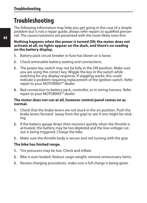# **Troubleshooting**

The following information may help you get going in the case of a simple problem but is not a repair guide; always refer repairs to qualified personnel. The causes/solutions are presented with the most-likely ones first.

**Nothing happens when the power is turned ON; the motor does not activate at all, no lights appear on the dash, and there's no reading on the battery display.**

- **1.** Battery pack circuit breaker or fuse has blown or is loose.
- **2.** Check removable battery seating and connections.
- **3.** The power key switch may not be fully in the ON position. Make sure you are using the correct key. Wiggle the key in the switch while watching for any display response. If wiggling works, this could indicate a problem requiring replacement of the ignition switch. Refer repair to your MOTORINO™ dealer.
- **4.** Bad connection to battery pack, controller, or in wiring harness. Refer repair to your MOTORINO™ dealer.

#### **The motor does not run at all, however control panel comes on as normal.**

- **1.** Check that the brake levers are not stuck in the on position. Push the brake levers forward (away from the grip) to see if one might be stick-<br>ing.
- **2.** If the battery gauge drops then recovers quickly when the throttle is activated, the battery may be too depleted and the low-voltage cutout is being triggered. Charge the bike.
- **3.** Make sure the throttle body is secure and not turning with the grip

#### **The bike has limited range.**

- **1.** Tire pressures may be low. Check and inflate
- **2.** Bike is over-loaded. Reduce cargo weight; remove unnecessary items.
- **3.** Review charging procedures, make sure a full charge is being given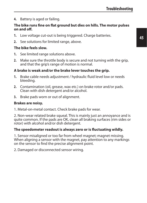**4.** Battery is aged or failing.

#### **The bike runs fine on flat ground but dies on hills. The motor pulses on and off.**

- **1.** Low voltage cut-out is being triggered. Charge batteries.
- **2.** See solutions for limited range, above.

#### **The bike feels slow.**

- **1.** See limited range solutions above.
- **2.** Make sure the throttle body is secure and not turning with the grip, and that the grip's range of motion is normal.

#### **A brake is weak and/or the brake lever touches the grip.**

- **1.** Brake cable needs adjustment / hydraulic fluid level low or needs bleeding.
- **2.** Contamination (oil, grease, wax etc.) on brake rotor and/or pads. Clean with dish detergent and/or alcohol.
- **3.** Brake pads worn or out of alignment.

#### **Brakes are noisy.**

1. Metal-on-metal contact. Check brake pads for wear.

2. Non-wear related brake squeal. This is mainly just an annoyance and is quite common. If the pads are OK, clean all braking surfaces (rim sides or rotor) with alcohol and/or dish detergent.

#### **The speedometer readout is always zero or is fluctuating wildly.**

1. Sensor misaligned or too far from wheel magnet; magnet missing. When aligning a sensor with the magnet, pay attention to any markings on the sensor to find the precise alignment point.

2. Damaged or disconnected sensor wiring.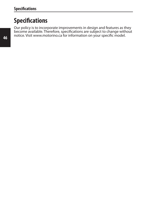# **Specifications**

Our policy is to incorporate improvements in design and features as they become available. Therefore, specifications are subject to change without notice. Visit www.motorino.ca for information on your specific model.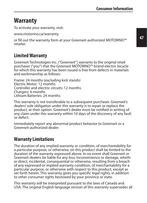# **Warranty**

To activate your warranty, visit:

www.motorino.ca/warranty

or fill out the warranty form at your Greenwit-authorized MOTORINO™ retailer.

#### **Limited Warranty**

Greenwit Technologies Inc. ("Greenwit") warrants to the original retail purchaser ("you") that the Greenwit MOTORINO™-brand electric bicycle for which this warranty has been issued is free from defects in materials and workmanship as follows:

Frame: 24 months (excluding kick stands) Electric Motor: 12 months Controller and electric circuits: 12 months Chargers: 6 months Lithium Batteries: 24 months

This warranty is not transferable to a subsequent purchaser. Greenwit's dealers' sole obligation under this warranty is to repair or replace the product, at their option. Greenwit's dealer must be notified in writing of any claim under this warranty within 10 days of the discovery of any fault or defect.

Immediately report any abnormal product behavior to Greenwit or a Greenwit-authorized dealer.

#### **Warranty Limitations**

The duration of any implied warranty or condition, of merchantability for a particular purpose, or otherwise, on this product shall be limited to the duration of the warranty expressed above. In no event shall Greenwit or Greenwit dealers be liable for any loss, inconvenience or damage, whether direct, incidental, consequential or otherwise, resulting from a breach of any expressed or implied warranty condition, of merchantability for a particular purpose, or otherwise with respect to this product, except as set forth herein. This warranty gives you specific legal rights, in addition to other consumer rights bestowed by your province or state.

This warranty will be interpreted pursuant to the laws of Canada and USA. The original English language version of this warranty supersedes all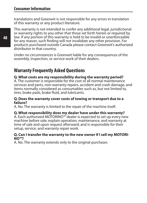translations and Greenwit is not responsible for any errors in translation of this warranty or any product literature.

This warranty is not intended to confer any additional legal, jurisdictional or warranty rights to you other that those set forth herein or required by law. If any portion of this warranty is held to be invalid or unenforceable for any reason, such finding will not invalidate any other provision. For products purchased outside Canada please contact Greenwit's authorized distributor in that country.

Under no circumstances is Greenwit liable for any consequences of the assembly, inspection, or service work of their dealers.

#### **Warranty Frequently Asked Questions**

#### **Q. What costs are my responsibility during the warranty period?**

A. The customer is responsible for the cost of all normal maintenance services and parts, non-warranty repairs, accident and crash damage, and items normally considered as consumables such as, but not limited to, tires, brake pads, brake fluid, and lubricants.

#### **Q. Does the warranty cover costs of towing or transport due to a failure?**

A. No. The warranty is limited to the repair of the machine itself.

#### **Q. What responsibility does my dealer have under this warranty?**

A. Each authorized MOTORINO™ dealer is expected to set up every new machine before sale; explain operation, maintenance, and warranty at time of sale and upon request afterward; and is responsible for their setup, service, and warranty repair work.

#### **Q. Can I transfer the warranty to the new owner if I sell my MOTORI-NO™?**

A. No. The warranty extends only to the original purchaser.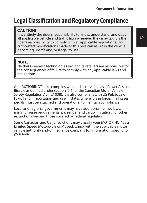# **Legal Classification and Regulatory Compliance**

#### **CAUTION!**

It is entirely the rider's responsibility to know, understand, and obey all applicable vehicle and traffic laws wherever they may go. It is the rider's responsibility to comply with all applicable regulations. Unauthorized modifications made to this bike can result in the vehicle becoming unsafe and/or illegal to use.

#### **NOTE:**

Neither Greenwit Technologies Inc. nor its retailers are responsible for the consequences of failure to comply with any applicable laws and regulations.

Your MOTORINO™ bike complies with and is classified as a Power Assisted Bicycle as defined under section 2(1) of the Canadian Motor Vehicle Safety Regulation Act (c.1038). It is also compliant with US Public Law 107-319 for importation and use in states where it is in force. In all cases, pedals must be attached and operational to maintain compliance.

Local and regional governments may have additional helmet laws, minimum-age requirements, passenger and cargo limitations, or other restrictions beyond those covered by federal regulation.

Some Canadian and US jurisdictions may classify your MOTORINO™ as a Limited Speed Motorcycle or Moped. Check with the applicable motor vehicle authority and/or insurance company for information specific to your area.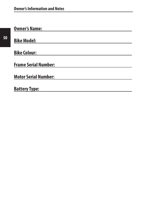| <b>Owner's Name:</b>        |
|-----------------------------|
|                             |
| <b>Bike Model:</b>          |
|                             |
| <b>Bike Colour:</b>         |
|                             |
| <b>Frame Serial Number:</b> |
|                             |
| <b>Motor Serial Number:</b> |
|                             |
| <b>Battery Type:</b>        |